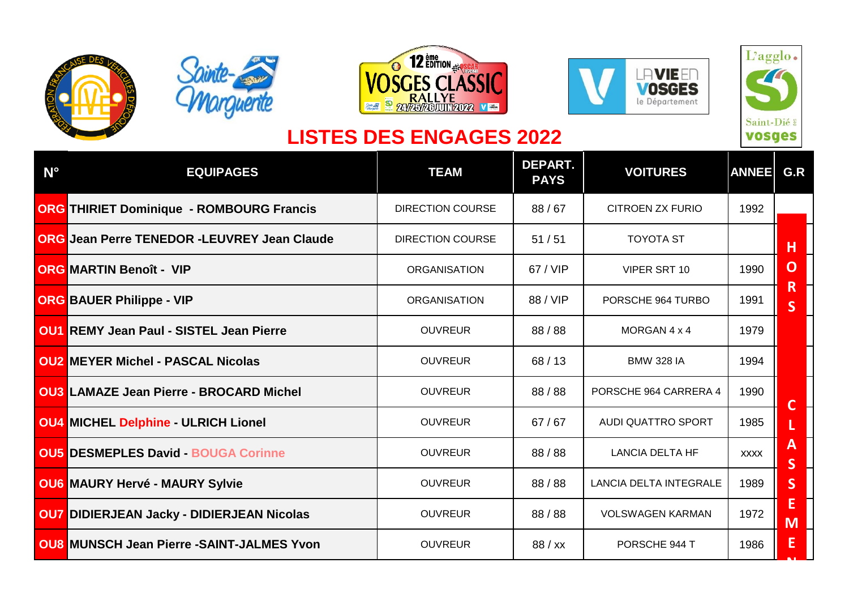









## **LISTES DES ENGAGES 2022**

| $N^{\circ}$ | <b>EQUIPAGES</b>                                   | <b>TEAM</b>             | DEPART.<br><b>PAYS</b> | <b>VOITURES</b>               | <b>ANNEE</b> | G.R                          |
|-------------|----------------------------------------------------|-------------------------|------------------------|-------------------------------|--------------|------------------------------|
|             | <b>ORG THIRIET Dominique - ROMBOURG Francis</b>    | <b>DIRECTION COURSE</b> | 88/67                  | <b>CITROEN ZX FURIO</b>       | 1992         |                              |
|             | <b>ORG Jean Perre TENEDOR -LEUVREY Jean Claude</b> | <b>DIRECTION COURSE</b> | 51/51                  | <b>TOYOTA ST</b>              |              | H                            |
|             | <b>ORG MARTIN Benoît - VIP</b>                     | <b>ORGANISATION</b>     | 67 / VIP               | VIPER SRT 10                  | 1990         | $\mathbf O$                  |
|             | <b>ORG BAUER Philippe - VIP</b>                    | <b>ORGANISATION</b>     | 88 / VIP               | PORSCHE 964 TURBO             | 1991         | R<br>$\overline{\mathsf{S}}$ |
|             | <b>OU1 REMY Jean Paul - SISTEL Jean Pierre</b>     | <b>OUVREUR</b>          | 88 / 88                | MORGAN 4 x 4                  | 1979         |                              |
|             | <b>OU2</b> MEYER Michel - PASCAL Nicolas           | <b>OUVREUR</b>          | 68/13                  | <b>BMW 328 IA</b>             | 1994         |                              |
|             | <b>OU3 LAMAZE Jean Pierre - BROCARD Michel</b>     | <b>OUVREUR</b>          | 88 / 88                | PORSCHE 964 CARRERA 4         | 1990         | $\mathbf{C}$                 |
|             | <b>OU4 MICHEL Delphine - ULRICH Lionel</b>         | <b>OUVREUR</b>          | 67/67                  | <b>AUDI QUATTRO SPORT</b>     | 1985         |                              |
|             | <b>OU5 DESMEPLES David - BOUGA Corinne</b>         | <b>OUVREUR</b>          | 88 / 88                | <b>LANCIA DELTA HF</b>        | <b>XXXX</b>  | A<br>$\overline{\mathsf{S}}$ |
|             | <b>OU6 MAURY Hervé - MAURY Sylvie</b>              | <b>OUVREUR</b>          | 88/88                  | <b>LANCIA DELTA INTEGRALE</b> | 1989         | $\mathsf{S}$                 |
|             | <b>OU7 DIDIERJEAN Jacky - DIDIERJEAN Nicolas</b>   | <b>OUVREUR</b>          | 88/88                  | <b>VOLSWAGEN KARMAN</b>       | 1972         | E<br>M                       |
|             | <b>OU8 MUNSCH Jean Pierre -SAINT-JALMES Yvon</b>   | <b>OUVREUR</b>          | 88 / xx                | PORSCHE 944 T                 | 1986         | E                            |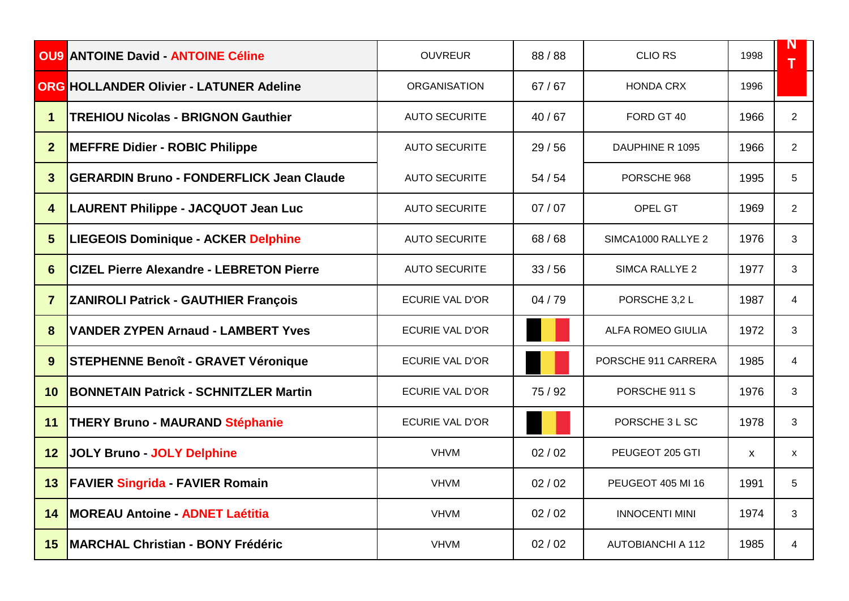|                         | <b>OU9 ANTOINE David - ANTOINE Céline</b>       | <b>OUVREUR</b>         | 88/88   | <b>CLIO RS</b>           | 1998 | N              |
|-------------------------|-------------------------------------------------|------------------------|---------|--------------------------|------|----------------|
|                         | <b>ORG HOLLANDER Olivier - LATUNER Adeline</b>  | <b>ORGANISATION</b>    | 67/67   | <b>HONDA CRX</b>         | 1996 |                |
| 1                       | <b>TREHIOU Nicolas - BRIGNON Gauthier</b>       | <b>AUTO SECURITE</b>   | 40/67   | FORD GT 40               | 1966 | $\overline{2}$ |
| $\mathbf{2}$            | <b>MEFFRE Didier - ROBIC Philippe</b>           | <b>AUTO SECURITE</b>   | 29/56   | DAUPHINE R 1095          | 1966 | $\overline{2}$ |
| 3                       | <b>GERARDIN Bruno - FONDERFLICK Jean Claude</b> | <b>AUTO SECURITE</b>   | 54/54   | PORSCHE 968              | 1995 | 5              |
| $\overline{\mathbf{4}}$ | <b>LAURENT Philippe - JACQUOT Jean Luc</b>      | <b>AUTO SECURITE</b>   | 07/07   | OPEL GT                  | 1969 | $\overline{2}$ |
| 5                       | <b>LIEGEOIS Dominique - ACKER Delphine</b>      | <b>AUTO SECURITE</b>   | 68/68   | SIMCA1000 RALLYE 2       | 1976 | 3              |
| 6                       | <b>CIZEL Pierre Alexandre - LEBRETON Pierre</b> | <b>AUTO SECURITE</b>   | 33/56   | <b>SIMCA RALLYE 2</b>    | 1977 | 3              |
| $\overline{7}$          | <b>ZANIROLI Patrick - GAUTHIER François</b>     | ECURIE VAL D'OR        | 04/79   | PORSCHE 3,2 L            | 1987 | 4              |
| 8                       | <b>VANDER ZYPEN Arnaud - LAMBERT Yves</b>       | <b>ECURIE VAL D'OR</b> |         | <b>ALFA ROMEO GIULIA</b> | 1972 | 3              |
| 9                       | <b>STEPHENNE Benoît - GRAVET Véronique</b>      | <b>ECURIE VAL D'OR</b> |         | PORSCHE 911 CARRERA      | 1985 | 4              |
| 10                      | <b>BONNETAIN Patrick - SCHNITZLER Martin</b>    | <b>ECURIE VAL D'OR</b> | 75 / 92 | PORSCHE 911 S            | 1976 | 3              |
| 11                      | <b>THERY Bruno - MAURAND Stéphanie</b>          | <b>ECURIE VAL D'OR</b> |         | PORSCHE 3 L SC           | 1978 | 3              |
| 12                      | <b>JOLY Bruno - JOLY Delphine</b>               | <b>VHVM</b>            | 02/02   | PEUGEOT 205 GTI          | X    | X              |
| 13                      | <b>FAVIER Singrida - FAVIER Romain</b>          | <b>VHVM</b>            | 02/02   | PEUGEOT 405 MI 16        | 1991 | 5              |
| 14                      | <b>MOREAU Antoine - ADNET Laétitia</b>          | <b>VHVM</b>            | 02/02   | <b>INNOCENTI MINI</b>    | 1974 | 3              |
| 15                      | <b>MARCHAL Christian - BONY Frédéric</b>        | <b>VHVM</b>            | 02/02   | <b>AUTOBIANCHI A 112</b> | 1985 | 4              |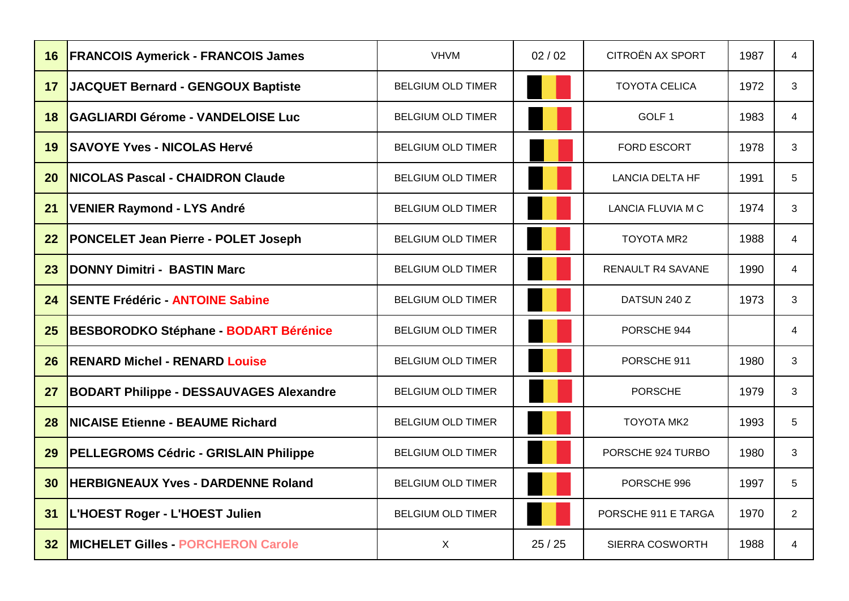| 16              | <b>FRANCOIS Aymerick - FRANCOIS James</b>      | <b>VHVM</b>              | 02/02 | CITROËN AX SPORT         | 1987 | 4              |
|-----------------|------------------------------------------------|--------------------------|-------|--------------------------|------|----------------|
| 17              | JACQUET Bernard - GENGOUX Baptiste             | <b>BELGIUM OLD TIMER</b> |       | <b>TOYOTA CELICA</b>     | 1972 | 3              |
| 18              | <b>GAGLIARDI Gérome - VANDELOISE Luc</b>       | <b>BELGIUM OLD TIMER</b> |       | GOLF <sub>1</sub>        | 1983 | 4              |
| 19              | <b>SAVOYE Yves - NICOLAS Hervé</b>             | <b>BELGIUM OLD TIMER</b> |       | FORD ESCORT              | 1978 | 3              |
| 20              | <b>INICOLAS Pascal - CHAIDRON Claude</b>       | <b>BELGIUM OLD TIMER</b> |       | <b>LANCIA DELTA HF</b>   | 1991 | 5              |
| 21              | <b>VENIER Raymond - LYS André</b>              | <b>BELGIUM OLD TIMER</b> |       | <b>LANCIA FLUVIA M C</b> | 1974 | 3              |
| 22              | <b>PONCELET Jean Pierre - POLET Joseph</b>     | <b>BELGIUM OLD TIMER</b> |       | <b>TOYOTA MR2</b>        | 1988 | 4              |
| 23              | <b>DONNY Dimitri - BASTIN Marc</b>             | <b>BELGIUM OLD TIMER</b> |       | <b>RENAULT R4 SAVANE</b> | 1990 | 4              |
| 24              | <b>SENTE Frédéric - ANTOINE Sabine</b>         | <b>BELGIUM OLD TIMER</b> |       | DATSUN 240 Z             | 1973 | 3              |
| 25              | <b>BESBORODKO Stéphane - BODART Bérénice</b>   | <b>BELGIUM OLD TIMER</b> |       | PORSCHE 944              |      | 4              |
| 26              | <b>RENARD Michel - RENARD Louise</b>           | <b>BELGIUM OLD TIMER</b> |       | PORSCHE 911              | 1980 | 3              |
| 27              | <b>BODART Philippe - DESSAUVAGES Alexandre</b> | <b>BELGIUM OLD TIMER</b> |       | <b>PORSCHE</b>           | 1979 | 3              |
| 28              | <b>NICAISE Etienne - BEAUME Richard</b>        | <b>BELGIUM OLD TIMER</b> |       | <b>TOYOTA MK2</b>        | 1993 | 5              |
| 29              | <b>PELLEGROMS Cédric - GRISLAIN Philippe</b>   | <b>BELGIUM OLD TIMER</b> |       | PORSCHE 924 TURBO        | 1980 | 3              |
| 30              | <b>HERBIGNEAUX Yves - DARDENNE Roland</b>      | <b>BELGIUM OLD TIMER</b> |       | PORSCHE 996              | 1997 | 5              |
| 31              | L'HOEST Roger - L'HOEST Julien                 | <b>BELGIUM OLD TIMER</b> |       | PORSCHE 911 E TARGA      | 1970 | $\overline{2}$ |
| 32 <sub>2</sub> | <b>IMICHELET Gilles - PORCHERON Carole</b>     | $\mathsf{X}$             | 25/25 | SIERRA COSWORTH          | 1988 | 4              |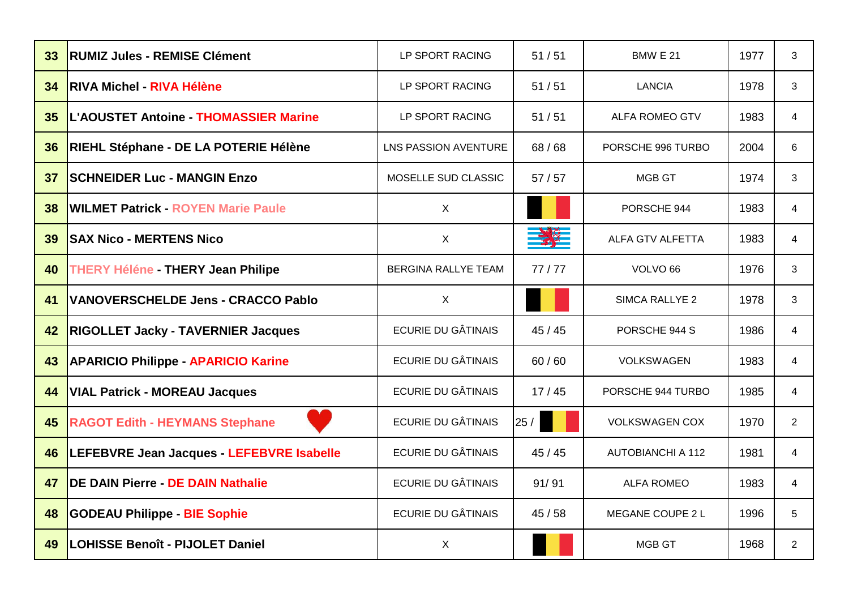| 33 | <b>RUMIZ Jules - REMISE Clément</b>          | LP SPORT RACING           | 51/51 | <b>BMW E 21</b>          | 1977 | 3              |
|----|----------------------------------------------|---------------------------|-------|--------------------------|------|----------------|
| 34 | <b>IRIVA Michel - RIVA Hélène</b>            | LP SPORT RACING           | 51/51 | <b>LANCIA</b>            | 1978 | 3              |
| 35 | <b>L'AOUSTET Antoine - THOMASSIER Marine</b> | LP SPORT RACING           | 51/51 | <b>ALFA ROMEO GTV</b>    | 1983 | 4              |
| 36 | RIEHL Stéphane - DE LA POTERIE Hélène        | LNS PASSION AVENTURE      | 68/68 | PORSCHE 996 TURBO        | 2004 | 6              |
| 37 | <b>SCHNEIDER Luc - MANGIN Enzo</b>           | MOSELLE SUD CLASSIC       | 57/57 | <b>MGB GT</b>            | 1974 | 3              |
| 38 | <b>WILMET Patrick - ROYEN Marie Paule</b>    | $\mathsf{X}$              |       | PORSCHE 944              | 1983 | 4              |
| 39 | <b>SAX Nico - MERTENS Nico</b>               | X                         | $-28$ | ALFA GTV ALFETTA         | 1983 | 4              |
| 40 | <b>THERY Héléne - THERY Jean Philipe</b>     | BERGINA RALLYE TEAM       | 77/77 | VOLVO <sub>66</sub>      | 1976 | 3              |
| 41 | <b>VANOVERSCHELDE Jens - CRACCO Pablo</b>    | X                         |       | SIMCA RALLYE 2           | 1978 | 3              |
| 42 | <b>RIGOLLET Jacky - TAVERNIER Jacques</b>    | <b>ECURIE DU GÂTINAIS</b> | 45/45 | PORSCHE 944 S            | 1986 | 4              |
| 43 | <b>APARICIO Philippe - APARICIO Karine</b>   | <b>ECURIE DU GÂTINAIS</b> | 60/60 | <b>VOLKSWAGEN</b>        | 1983 | 4              |
| 44 | <b>VIAL Patrick - MOREAU Jacques</b>         | <b>ECURIE DU GÂTINAIS</b> | 17/45 | PORSCHE 944 TURBO        | 1985 | 4              |
| 45 | <b>RAGOT Edith - HEYMANS Stephane</b>        | <b>ECURIE DU GÂTINAIS</b> | 25/   | <b>VOLKSWAGEN COX</b>    | 1970 | $\overline{2}$ |
| 46 | LEFEBVRE Jean Jacques - LEFEBVRE Isabelle    | <b>ECURIE DU GÂTINAIS</b> | 45/45 | <b>AUTOBIANCHI A 112</b> | 1981 | $\overline{4}$ |
| 47 | <b>DE DAIN Pierre - DE DAIN Nathalie</b>     | <b>ECURIE DU GÂTINAIS</b> | 91/91 | <b>ALFA ROMEO</b>        | 1983 | 4              |
| 48 | <b>GODEAU Philippe - BIE Sophie</b>          | <b>ECURIE DU GÂTINAIS</b> | 45/58 | MEGANE COUPE 2 L         | 1996 | 5              |
| 49 | <b>LOHISSE Benoît - PIJOLET Daniel</b>       | X                         |       | <b>MGB GT</b>            | 1968 | $\overline{2}$ |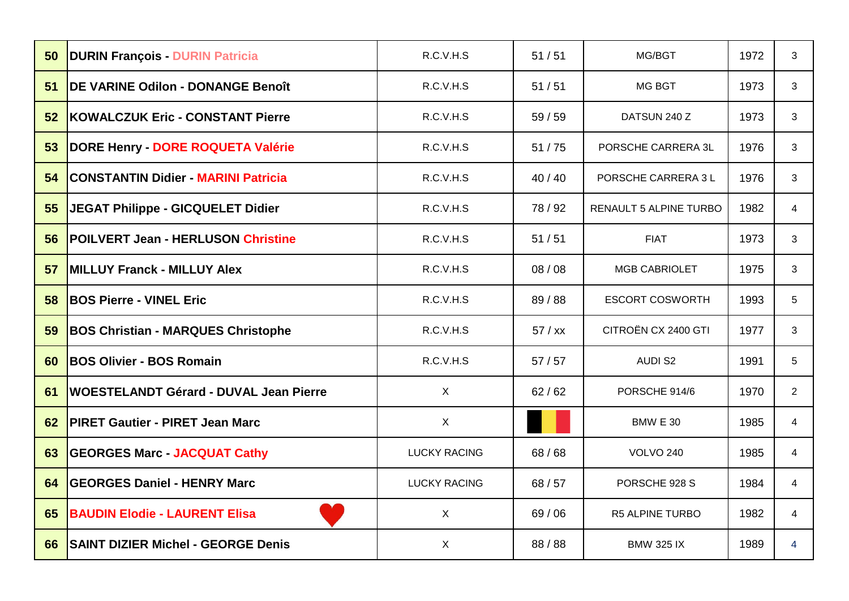| 50 | <b>DURIN François - DURIN Patricia</b>         | R.C.V.H.S           | 51/51   | MG/BGT                 | 1972 | 3              |
|----|------------------------------------------------|---------------------|---------|------------------------|------|----------------|
| 51 | <b>IDE VARINE Odilon - DONANGE Benoît</b>      | R.C.V.H.S           | 51/51   | MG BGT                 | 1973 | 3              |
| 52 | KOWALCZUK Eric - CONSTANT Pierre               | R.C.V.H.S           | 59/59   | DATSUN 240 Z           | 1973 | 3              |
| 53 | DORE Henry - DORE ROQUETA Valérie              | R.C.V.H.S           | 51/75   | PORSCHE CARRERA 3L     | 1976 | 3              |
| 54 | <b>CONSTANTIN Didier - MARINI Patricia</b>     | R.C.V.H.S           | 40/40   | PORSCHE CARRERA 3 L    | 1976 | 3              |
| 55 | <b>JEGAT Philippe - GICQUELET Didier</b>       | R.C.V.H.S           | 78 / 92 | RENAULT 5 ALPINE TURBO | 1982 | $\overline{4}$ |
| 56 | <b>POILVERT Jean - HERLUSON Christine</b>      | R.C.V.H.S           | 51/51   | <b>FIAT</b>            | 1973 | 3              |
| 57 | <b>MILLUY Franck - MILLUY Alex</b>             | R.C.V.H.S           | 08/08   | <b>MGB CABRIOLET</b>   | 1975 | 3              |
| 58 | <b>BOS Pierre - VINEL Eric</b>                 | R.C.V.H.S           | 89 / 88 | <b>ESCORT COSWORTH</b> | 1993 | 5              |
| 59 | <b>BOS Christian - MARQUES Christophe</b>      | R.C.V.H.S           | 57 / xx | CITROËN CX 2400 GTI    | 1977 | 3              |
| 60 | <b>BOS Olivier - BOS Romain</b>                | R.C.V.H.S           | 57/57   | <b>AUDI S2</b>         | 1991 | 5              |
| 61 | <b>IWOESTELANDT Gérard - DUVAL Jean Pierre</b> | X                   | 62/62   | PORSCHE 914/6          | 1970 | $\overline{2}$ |
| 62 | <b>PIRET Gautier - PIRET Jean Marc</b>         | $\mathsf{X}$        |         | <b>BMW E 30</b>        | 1985 | 4              |
| 63 | <b>GEORGES Marc - JACQUAT Cathy</b>            | <b>LUCKY RACING</b> | 68/68   | <b>VOLVO 240</b>       | 1985 | 4              |
| 64 | <b>GEORGES Daniel - HENRY Marc</b>             | <b>LUCKY RACING</b> | 68/57   | PORSCHE 928 S          | 1984 | 4              |
| 65 | <b>BAUDIN Elodie - LAURENT Elisa</b>           | $\mathsf{X}$        | 69/06   | R5 ALPINE TURBO        | 1982 | 4              |
| 66 | <b>SAINT DIZIER Michel - GEORGE Denis</b>      | X                   | 88 / 88 | <b>BMW 325 IX</b>      | 1989 | 4              |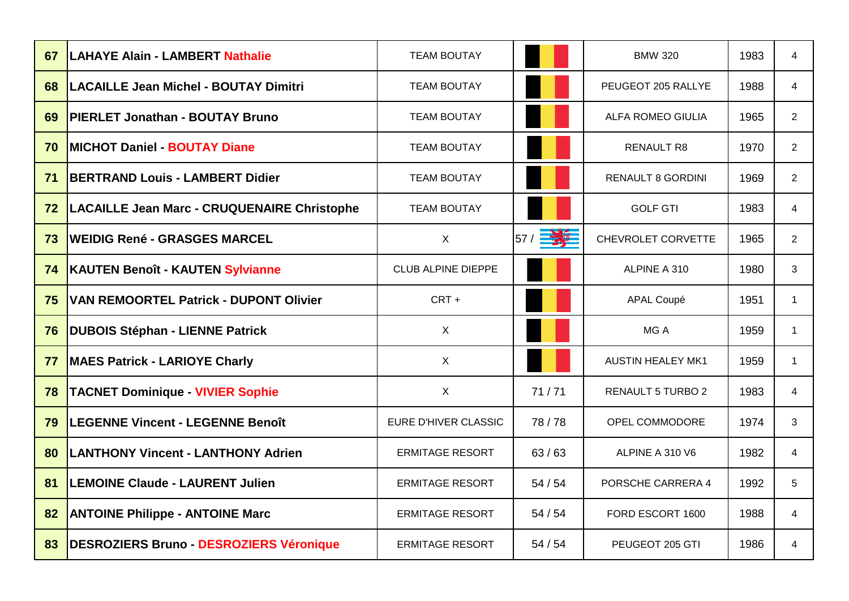| 67 | <b>ILAHAYE Alain - LAMBERT Nathalie</b>            | <b>TEAM BOUTAY</b>        |          | <b>BMW 320</b>           | 1983 | 4              |
|----|----------------------------------------------------|---------------------------|----------|--------------------------|------|----------------|
| 68 | <b>LACAILLE Jean Michel - BOUTAY Dimitri</b>       | <b>TEAM BOUTAY</b>        |          | PEUGEOT 205 RALLYE       | 1988 | 4              |
| 69 | <b>PIERLET Jonathan - BOUTAY Bruno</b>             | <b>TEAM BOUTAY</b>        |          | <b>ALFA ROMEO GIULIA</b> | 1965 | $\overline{2}$ |
| 70 | <b>IMICHOT Daniel - BOUTAY Diane</b>               | <b>TEAM BOUTAY</b>        |          | <b>RENAULT R8</b>        | 1970 | $\overline{2}$ |
| 71 | <b>BERTRAND Louis - LAMBERT Didier</b>             | <b>TEAM BOUTAY</b>        |          | <b>RENAULT 8 GORDINI</b> | 1969 | $\overline{2}$ |
| 72 | <b>LACAILLE Jean Marc - CRUQUENAIRE Christophe</b> | <b>TEAM BOUTAY</b>        |          | <b>GOLF GTI</b>          | 1983 | 4              |
| 73 | <b> WEIDIG René - GRASGES MARCEL</b>               | X                         | 57 / 三六三 | CHEVROLET CORVETTE       | 1965 | $\overline{2}$ |
| 74 | <b>KAUTEN Benoît - KAUTEN Sylvianne</b>            | <b>CLUB ALPINE DIEPPE</b> |          | ALPINE A 310             | 1980 | 3              |
| 75 | <b>VAN REMOORTEL Patrick - DUPONT Olivier</b>      | CRT +                     |          | <b>APAL Coupé</b>        | 1951 | 1.             |
| 76 | <b>DUBOIS Stéphan - LIENNE Patrick</b>             | $\sf X$                   |          | MG A                     | 1959 | 1              |
| 77 | <b>MAES Patrick - LARIOYE Charly</b>               | X                         |          | <b>AUSTIN HEALEY MK1</b> | 1959 | 1.             |
| 78 | <b>TACNET Dominique - VIVIER Sophie</b>            | $\sf X$                   | 71/71    | <b>RENAULT 5 TURBO 2</b> | 1983 | 4              |
| 79 | <b>LEGENNE Vincent - LEGENNE Benoît</b>            | EURE D'HIVER CLASSIC      | 78/78    | OPEL COMMODORE           | 1974 | 3              |
| 80 | <b>LANTHONY Vincent - LANTHONY Adrien</b>          | <b>ERMITAGE RESORT</b>    | 63/63    | ALPINE A 310 V6          | 1982 | 4              |
| 81 | <b>ILEMOINE Claude - LAURENT Julien</b>            | <b>ERMITAGE RESORT</b>    | 54/54    | PORSCHE CARRERA 4        | 1992 | 5              |
| 82 | <b>ANTOINE Philippe - ANTOINE Marc</b>             | <b>ERMITAGE RESORT</b>    | 54/54    | FORD ESCORT 1600         | 1988 | 4              |
| 83 | <b>DESROZIERS Bruno - DESROZIERS Véronique</b>     | <b>ERMITAGE RESORT</b>    | 54/54    | PEUGEOT 205 GTI          | 1986 | 4              |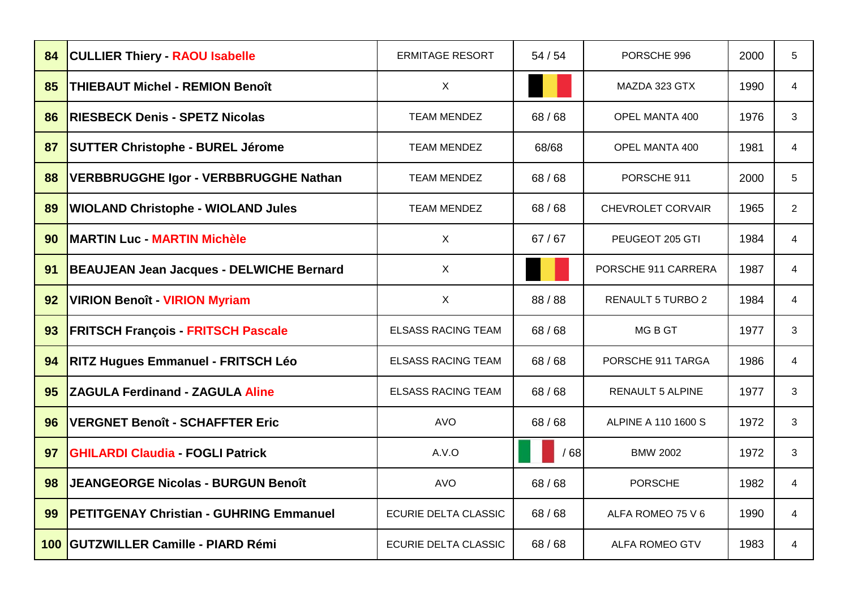| 84  | <b>CULLIER Thiery - RAOU Isabelle</b>           | <b>ERMITAGE RESORT</b>      | 54/54 | PORSCHE 996              | 2000 | 5              |
|-----|-------------------------------------------------|-----------------------------|-------|--------------------------|------|----------------|
| 85  | <b>THIEBAUT Michel - REMION Benoît</b>          | X                           |       | MAZDA 323 GTX            | 1990 | 4              |
| 86  | <b>RIESBECK Denis - SPETZ Nicolas</b>           | <b>TEAM MENDEZ</b>          | 68/68 | OPEL MANTA 400           | 1976 | 3              |
| 87  | <b>SUTTER Christophe - BUREL Jérome</b>         | <b>TEAM MENDEZ</b>          | 68/68 | OPEL MANTA 400           | 1981 | $\overline{4}$ |
| 88  | <b>VERBBRUGGHE Igor - VERBBRUGGHE Nathan</b>    | <b>TEAM MENDEZ</b>          | 68/68 | PORSCHE 911              | 2000 | 5              |
| 89  | <b>WIOLAND Christophe - WIOLAND Jules</b>       | <b>TEAM MENDEZ</b>          | 68/68 | <b>CHEVROLET CORVAIR</b> | 1965 | $\overline{2}$ |
| 90  | <b>MARTIN Luc - MARTIN Michèle</b>              | $\mathsf{X}$                | 67/67 | PEUGEOT 205 GTI          | 1984 | 4              |
| 91  | <b>BEAUJEAN Jean Jacques - DELWICHE Bernard</b> | X                           |       | PORSCHE 911 CARRERA      | 1987 | 4              |
| 92  | <b>VIRION Benoît - VIRION Myriam</b>            | X                           | 88/88 | <b>RENAULT 5 TURBO 2</b> | 1984 | 4              |
| 93  | <b>FRITSCH François - FRITSCH Pascale</b>       | <b>ELSASS RACING TEAM</b>   | 68/68 | MG B GT                  | 1977 | 3              |
| 94  | <b>RITZ Hugues Emmanuel - FRITSCH Léo</b>       | <b>ELSASS RACING TEAM</b>   | 68/68 | PORSCHE 911 TARGA        | 1986 | 4              |
| 95  | <b>ZAGULA Ferdinand - ZAGULA Aline</b>          | <b>ELSASS RACING TEAM</b>   | 68/68 | <b>RENAULT 5 ALPINE</b>  | 1977 | 3              |
| 96  | VERGNET Benoît - SCHAFFTER Eric                 | <b>AVO</b>                  | 68/68 | ALPINE A 110 1600 S      | 1972 | 3              |
| 97  | <b>GHILARDI Claudia - FOGLI Patrick</b>         | A.V.O                       | /68   | <b>BMW 2002</b>          | 1972 | 3              |
| 98  | <b>JEANGEORGE Nicolas - BURGUN Benoît</b>       | <b>AVO</b>                  | 68/68 | <b>PORSCHE</b>           | 1982 | 4              |
| 99  | <b>PETITGENAY Christian - GUHRING Emmanuel</b>  | <b>ECURIE DELTA CLASSIC</b> | 68/68 | ALFA ROMEO 75 V 6        | 1990 | 4              |
| 100 | <b>GUTZWILLER Camille - PIARD Rémi</b>          | ECURIE DELTA CLASSIC        | 68/68 | <b>ALFA ROMEO GTV</b>    | 1983 | 4              |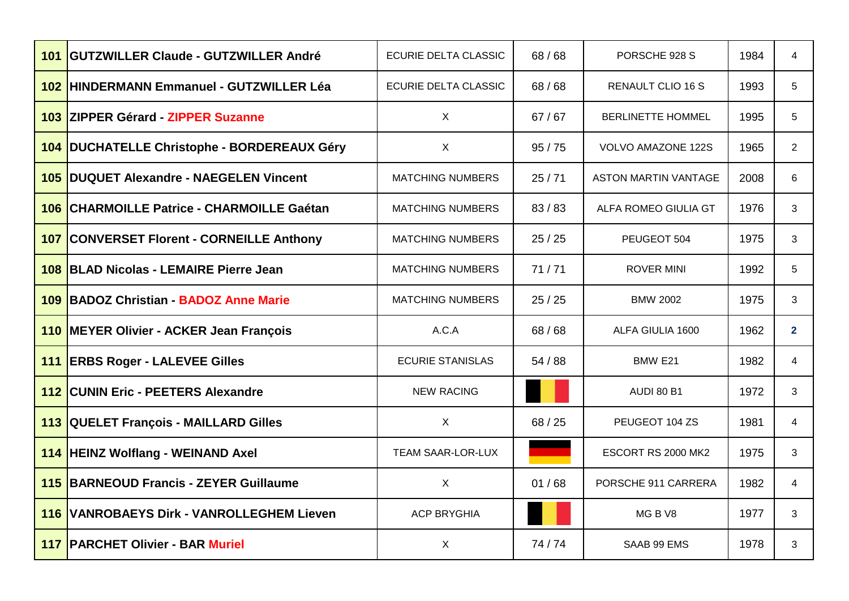|     | 101 GUTZWILLER Claude - GUTZWILLER André         | <b>ECURIE DELTA CLASSIC</b> | 68/68   | PORSCHE 928 S               | 1984 | 4                       |
|-----|--------------------------------------------------|-----------------------------|---------|-----------------------------|------|-------------------------|
|     | 102 HINDERMANN Emmanuel - GUTZWILLER Léa         | <b>ECURIE DELTA CLASSIC</b> | 68/68   | <b>RENAULT CLIO 16 S</b>    | 1993 | 5                       |
|     | 103 ZIPPER Gérard - ZIPPER Suzanne               | X                           | 67/67   | <b>BERLINETTE HOMMEL</b>    | 1995 | 5                       |
|     | 104 DUCHATELLE Christophe - BORDEREAUX Géry      | X                           | 95/75   | <b>VOLVO AMAZONE 122S</b>   | 1965 | $\overline{2}$          |
|     | 105 DUQUET Alexandre - NAEGELEN Vincent          | <b>MATCHING NUMBERS</b>     | 25/71   | <b>ASTON MARTIN VANTAGE</b> | 2008 | 6                       |
|     | 106 CHARMOILLE Patrice - CHARMOILLE Gaétan       | <b>MATCHING NUMBERS</b>     | 83/83   | ALFA ROMEO GIULIA GT        | 1976 | 3                       |
|     | 107 CONVERSET Florent - CORNEILLE Anthony        | <b>MATCHING NUMBERS</b>     | 25/25   | PEUGEOT 504                 | 1975 | 3                       |
|     | 108 BLAD Nicolas - LEMAIRE Pierre Jean           | <b>MATCHING NUMBERS</b>     | 71/71   | <b>ROVER MINI</b>           | 1992 | 5                       |
| 109 | <b>BADOZ Christian - BADOZ Anne Marie</b>        | <b>MATCHING NUMBERS</b>     | 25/25   | <b>BMW 2002</b>             | 1975 | 3                       |
|     | 110 MEYER Olivier - ACKER Jean François          | A.C.A                       | 68/68   | ALFA GIULIA 1600            | 1962 | $\overline{\mathbf{2}}$ |
|     | 111 ERBS Roger - LALEVEE Gilles                  | <b>ECURIE STANISLAS</b>     | 54/88   | BMW E21                     | 1982 | 4                       |
|     | 112 CUNIN Eric - PEETERS Alexandre               | <b>NEW RACING</b>           |         | <b>AUDI 80 B1</b>           | 1972 | 3                       |
|     | 113 QUELET François - MAILLARD Gilles            | X                           | 68 / 25 | PEUGEOT 104 ZS              | 1981 | 4                       |
|     | 114 HEINZ Wolflang - WEINAND Axel                | <b>TEAM SAAR-LOR-LUX</b>    |         | ESCORT RS 2000 MK2          | 1975 | 3                       |
|     | 115 BARNEOUD Francis - ZEYER Guillaume           | X                           | 01/68   | PORSCHE 911 CARRERA         | 1982 | 4                       |
|     | <b>116 VANROBAEYS Dirk - VANROLLEGHEM Lieven</b> | <b>ACP BRYGHIA</b>          |         | MGBV8                       | 1977 | 3.                      |
|     | <b>117   PARCHET Olivier - BAR Muriel</b>        | X                           | 74/74   | SAAB 99 EMS                 | 1978 | 3                       |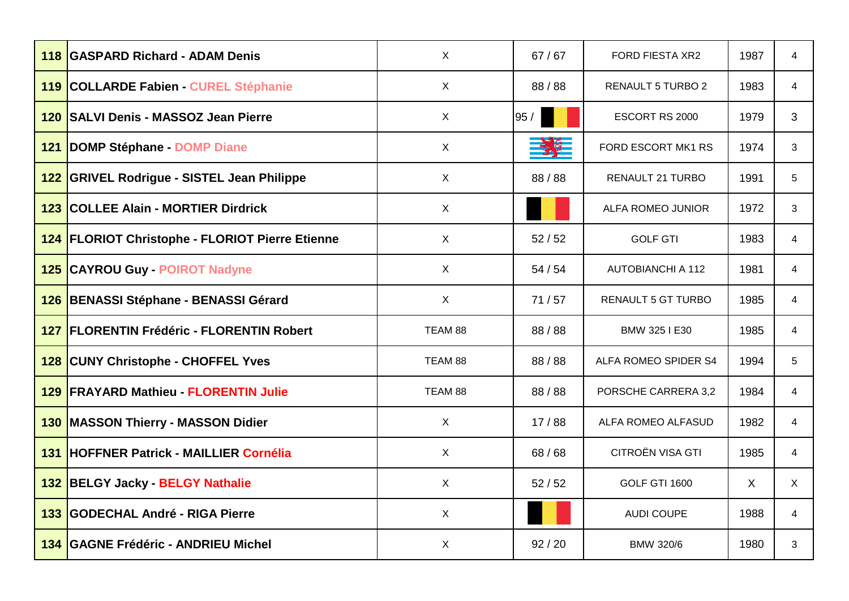| 118 | <b>GASPARD Richard - ADAM Denis</b>             | X            | 67/67   | <b>FORD FIESTA XR2</b>    | 1987    | 4            |
|-----|-------------------------------------------------|--------------|---------|---------------------------|---------|--------------|
|     | 119   COLLARDE Fabien - CUREL Stéphanie         | X            | 88 / 88 | <b>RENAULT 5 TURBO 2</b>  | 1983    | 4            |
| 120 | <b>SALVI Denis - MASSOZ Jean Pierre</b>         | X            | 95/     | ESCORT RS 2000            | 1979    | 3            |
| 121 | <b>DOMP Stéphane - DOMP Diane</b>               | X            |         | FORD ESCORT MK1 RS        | 1974    | 3            |
|     | 122 GRIVEL Rodrigue - SISTEL Jean Philippe      | X            | 88 / 88 | <b>RENAULT 21 TURBO</b>   | 1991    | 5            |
| 123 | <b>COLLEE Alain - MORTIER Dirdrick</b>          | $\mathsf{X}$ |         | <b>ALFA ROMEO JUNIOR</b>  | 1972    | 3            |
|     | 124 FLORIOT Christophe - FLORIOT Pierre Etienne | X            | 52/52   | <b>GOLF GTI</b>           | 1983    | 4            |
|     | 125 CAYROU Guy - POIROT Nadyne                  | X            | 54/54   | <b>AUTOBIANCHI A 112</b>  | 1981    | 4            |
|     | 126 BENASSI Stéphane - BENASSI Gérard           | X            | 71/57   | <b>RENAULT 5 GT TURBO</b> | 1985    | 4            |
|     | 127 FLORENTIN Frédéric - FLORENTIN Robert       | TEAM 88      | 88 / 88 | BMW 325 I E30             | 1985    | 4            |
|     | 128 CUNY Christophe - CHOFFEL Yves              | TEAM 88      | 88 / 88 | ALFA ROMEO SPIDER S4      | 1994    | 5            |
|     | <b>129 FRAYARD Mathieu - FLORENTIN Julie</b>    | TEAM 88      | 88 / 88 | PORSCHE CARRERA 3,2       | 1984    | 4            |
|     | 130 MASSON Thierry - MASSON Didier              | X            | 17/88   | ALFA ROMEO ALFASUD        | 1982    | 4            |
| 131 | <b>HOFFNER Patrick - MAILLIER Cornélia</b>      | X            | 68/68   | CITROËN VISA GTI          | 1985    | 4            |
|     | 132 BELGY Jacky - BELGY Nathalie                | X            | 52/52   | <b>GOLF GTI 1600</b>      | $\sf X$ | $\mathsf{X}$ |
| 133 | <b>GODECHAL André - RIGA Pierre</b>             | X            |         | <b>AUDI COUPE</b>         | 1988    | 4            |
| 134 | <b>GAGNE Frédéric - ANDRIEU Michel</b>          | X            | 92/20   | <b>BMW 320/6</b>          | 1980    | 3            |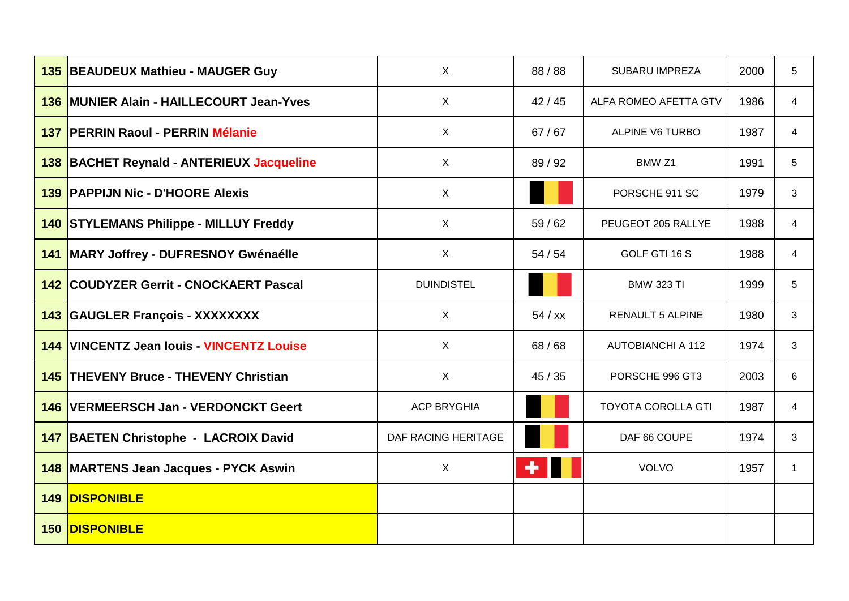| <b>135 BEAUDEUX Mathieu - MAUGER Guy</b>      | $\mathsf X$         | 88/88   | <b>SUBARU IMPREZA</b>     | 2000 | 5              |
|-----------------------------------------------|---------------------|---------|---------------------------|------|----------------|
| 136 MUNIER Alain - HAILLECOURT Jean-Yves      | X                   | 42/45   | ALFA ROMEO AFETTA GTV     | 1986 | $\overline{4}$ |
| 137 PERRIN Raoul - PERRIN Mélanie             | $\sf X$             | 67/67   | <b>ALPINE V6 TURBO</b>    | 1987 | 4              |
| 138 BACHET Reynald - ANTERIEUX Jacqueline     | $\mathsf{X}$        | 89 / 92 | BMW <sub>Z1</sub>         | 1991 | 5              |
| <b>139 PAPPIJN Nic - D'HOORE Alexis</b>       | X                   |         | PORSCHE 911 SC            | 1979 | 3              |
| <b>140 STYLEMANS Philippe - MILLUY Freddy</b> | $\sf X$             | 59/62   | PEUGEOT 205 RALLYE        | 1988 | 4              |
| 141 MARY Joffrey - DUFRESNOY Gwénaélle        | $\sf X$             | 54/54   | GOLF GTI 16 S             | 1988 | 4              |
| 142 COUDYZER Gerrit - CNOCKAERT Pascal        | <b>DUINDISTEL</b>   |         | <b>BMW 323 TI</b>         | 1999 | 5              |
| 143 GAUGLER François - XXXXXXXX               | $\sf X$             | 54 / xx | <b>RENAULT 5 ALPINE</b>   | 1980 | 3              |
| 144 VINCENTZ Jean Iouis - VINCENTZ Louise     | $\mathsf{X}$        | 68/68   | <b>AUTOBIANCHI A 112</b>  | 1974 | 3              |
| <b>145 THEVENY Bruce - THEVENY Christian</b>  | $\sf X$             | 45/35   | PORSCHE 996 GT3           | 2003 | 6              |
| 146 VERMEERSCH Jan - VERDONCKT Geert          | <b>ACP BRYGHIA</b>  |         | <b>TOYOTA COROLLA GTI</b> | 1987 | 4              |
| 147 BAETEN Christophe - LACROIX David         | DAF RACING HERITAGE |         | DAF 66 COUPE              | 1974 | 3              |
| 148 MARTENS Jean Jacques - PYCK Aswin         | $\sf X$             | ╇       | <b>VOLVO</b>              | 1957 | 1              |
| <b>149 DISPONIBLE</b>                         |                     |         |                           |      |                |
| <b>150 DISPONIBLE</b>                         |                     |         |                           |      |                |